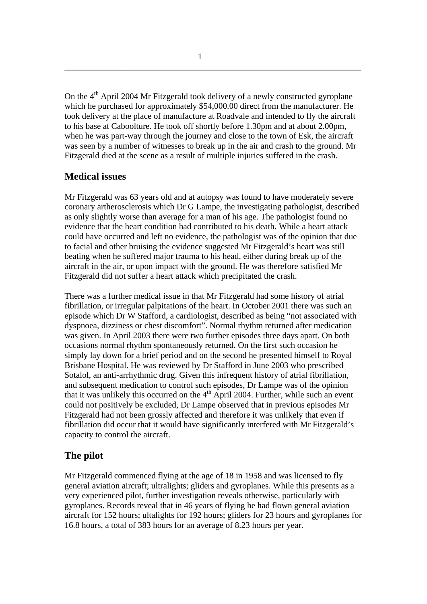On the  $4<sup>th</sup>$  April 2004 Mr Fitzgerald took delivery of a newly constructed gyroplane which he purchased for approximately \$54,000.00 direct from the manufacturer. He took delivery at the place of manufacture at Roadvale and intended to fly the aircraft to his base at Caboolture. He took off shortly before 1.30pm and at about 2.00pm, when he was part-way through the journey and close to the town of Esk, the aircraft was seen by a number of witnesses to break up in the air and crash to the ground. Mr Fitzgerald died at the scene as a result of multiple injuries suffered in the crash.

\_\_\_\_\_\_\_\_\_\_\_\_\_\_\_\_\_\_\_\_\_\_\_\_\_\_\_\_\_\_\_\_\_\_\_\_\_\_\_\_\_\_\_\_\_\_\_\_\_\_\_\_\_\_\_\_\_\_\_\_\_\_\_\_\_\_\_\_\_

# **Medical issues**

Mr Fitzgerald was 63 years old and at autopsy was found to have moderately severe coronary artherosclerosis which Dr G Lampe, the investigating pathologist, described as only slightly worse than average for a man of his age. The pathologist found no evidence that the heart condition had contributed to his death. While a heart attack could have occurred and left no evidence, the pathologist was of the opinion that due to facial and other bruising the evidence suggested Mr Fitzgerald's heart was still beating when he suffered major trauma to his head, either during break up of the aircraft in the air, or upon impact with the ground. He was therefore satisfied Mr Fitzgerald did not suffer a heart attack which precipitated the crash.

There was a further medical issue in that Mr Fitzgerald had some history of atrial fibrillation, or irregular palpitations of the heart. In October 2001 there was such an episode which Dr W Stafford, a cardiologist, described as being "not associated with dyspnoea, dizziness or chest discomfort". Normal rhythm returned after medication was given. In April 2003 there were two further episodes three days apart. On both occasions normal rhythm spontaneously returned. On the first such occasion he simply lay down for a brief period and on the second he presented himself to Royal Brisbane Hospital. He was reviewed by Dr Stafford in June 2003 who prescribed Sotalol, an anti-arrhythmic drug. Given this infrequent history of atrial fibrillation, and subsequent medication to control such episodes, Dr Lampe was of the opinion that it was unlikely this occurred on the  $4<sup>th</sup>$  April 2004. Further, while such an event could not positively be excluded, Dr Lampe observed that in previous episodes Mr Fitzgerald had not been grossly affected and therefore it was unlikely that even if fibrillation did occur that it would have significantly interfered with Mr Fitzgerald's capacity to control the aircraft.

# **The pilot**

Mr Fitzgerald commenced flying at the age of 18 in 1958 and was licensed to fly general aviation aircraft; ultralights; gliders and gyroplanes. While this presents as a very experienced pilot, further investigation reveals otherwise, particularly with gyroplanes. Records reveal that in 46 years of flying he had flown general aviation aircraft for 152 hours; ultalights for 192 hours; gliders for 23 hours and gyroplanes for 16.8 hours, a total of 383 hours for an average of 8.23 hours per year.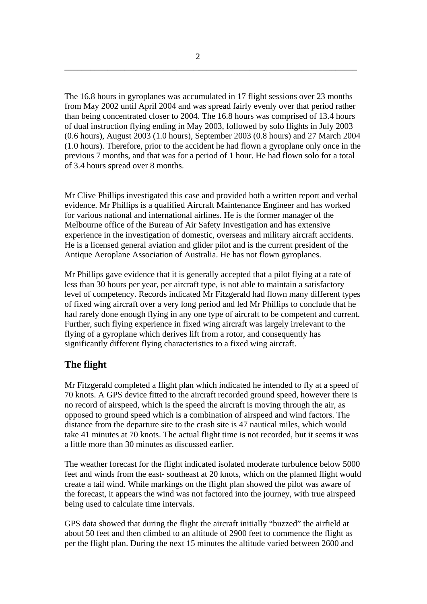The 16.8 hours in gyroplanes was accumulated in 17 flight sessions over 23 months from May 2002 until April 2004 and was spread fairly evenly over that period rather than being concentrated closer to 2004. The 16.8 hours was comprised of 13.4 hours of dual instruction flying ending in May 2003, followed by solo flights in July 2003 (0.6 hours), August 2003 (1.0 hours), September 2003 (0.8 hours) and 27 March 2004 (1.0 hours). Therefore, prior to the accident he had flown a gyroplane only once in the previous 7 months, and that was for a period of 1 hour. He had flown solo for a total of 3.4 hours spread over 8 months.

\_\_\_\_\_\_\_\_\_\_\_\_\_\_\_\_\_\_\_\_\_\_\_\_\_\_\_\_\_\_\_\_\_\_\_\_\_\_\_\_\_\_\_\_\_\_\_\_\_\_\_\_\_\_\_\_\_\_\_\_\_\_\_\_\_\_\_\_

Mr Clive Phillips investigated this case and provided both a written report and verbal evidence. Mr Phillips is a qualified Aircraft Maintenance Engineer and has worked for various national and international airlines. He is the former manager of the Melbourne office of the Bureau of Air Safety Investigation and has extensive experience in the investigation of domestic, overseas and military aircraft accidents. He is a licensed general aviation and glider pilot and is the current president of the Antique Aeroplane Association of Australia. He has not flown gyroplanes.

Mr Phillips gave evidence that it is generally accepted that a pilot flying at a rate of less than 30 hours per year, per aircraft type, is not able to maintain a satisfactory level of competency. Records indicated Mr Fitzgerald had flown many different types of fixed wing aircraft over a very long period and led Mr Phillips to conclude that he had rarely done enough flying in any one type of aircraft to be competent and current. Further, such flying experience in fixed wing aircraft was largely irrelevant to the flying of a gyroplane which derives lift from a rotor, and consequently has significantly different flying characteristics to a fixed wing aircraft.

# **The flight**

Mr Fitzgerald completed a flight plan which indicated he intended to fly at a speed of 70 knots. A GPS device fitted to the aircraft recorded ground speed, however there is no record of airspeed, which is the speed the aircraft is moving through the air, as opposed to ground speed which is a combination of airspeed and wind factors. The distance from the departure site to the crash site is 47 nautical miles, which would take 41 minutes at 70 knots. The actual flight time is not recorded, but it seems it was a little more than 30 minutes as discussed earlier.

The weather forecast for the flight indicated isolated moderate turbulence below 5000 feet and winds from the east- southeast at 20 knots, which on the planned flight would create a tail wind. While markings on the flight plan showed the pilot was aware of the forecast, it appears the wind was not factored into the journey, with true airspeed being used to calculate time intervals.

GPS data showed that during the flight the aircraft initially "buzzed" the airfield at about 50 feet and then climbed to an altitude of 2900 feet to commence the flight as per the flight plan. During the next 15 minutes the altitude varied between 2600 and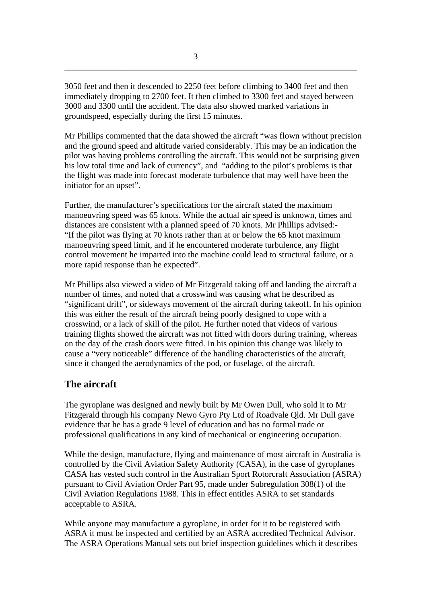3050 feet and then it descended to 2250 feet before climbing to 3400 feet and then immediately dropping to 2700 feet. It then climbed to 3300 feet and stayed between 3000 and 3300 until the accident. The data also showed marked variations in groundspeed, especially during the first 15 minutes.

\_\_\_\_\_\_\_\_\_\_\_\_\_\_\_\_\_\_\_\_\_\_\_\_\_\_\_\_\_\_\_\_\_\_\_\_\_\_\_\_\_\_\_\_\_\_\_\_\_\_\_\_\_\_\_\_\_\_\_\_\_\_\_\_\_\_\_\_

Mr Phillips commented that the data showed the aircraft "was flown without precision and the ground speed and altitude varied considerably. This may be an indication the pilot was having problems controlling the aircraft. This would not be surprising given his low total time and lack of currency", and "adding to the pilot's problems is that the flight was made into forecast moderate turbulence that may well have been the initiator for an upset".

Further, the manufacturer's specifications for the aircraft stated the maximum manoeuvring speed was 65 knots. While the actual air speed is unknown, times and distances are consistent with a planned speed of 70 knots. Mr Phillips advised:- "If the pilot was flying at 70 knots rather than at or below the 65 knot maximum manoeuvring speed limit, and if he encountered moderate turbulence, any flight control movement he imparted into the machine could lead to structural failure, or a more rapid response than he expected".

Mr Phillips also viewed a video of Mr Fitzgerald taking off and landing the aircraft a number of times, and noted that a crosswind was causing what he described as "significant drift", or sideways movement of the aircraft during takeoff. In his opinion this was either the result of the aircraft being poorly designed to cope with a crosswind, or a lack of skill of the pilot. He further noted that videos of various training flights showed the aircraft was not fitted with doors during training, whereas on the day of the crash doors were fitted. In his opinion this change was likely to cause a "very noticeable" difference of the handling characteristics of the aircraft, since it changed the aerodynamics of the pod, or fuselage, of the aircraft.

# **The aircraft**

The gyroplane was designed and newly built by Mr Owen Dull, who sold it to Mr Fitzgerald through his company Newo Gyro Pty Ltd of Roadvale Qld. Mr Dull gave evidence that he has a grade 9 level of education and has no formal trade or professional qualifications in any kind of mechanical or engineering occupation.

While the design, manufacture, flying and maintenance of most aircraft in Australia is controlled by the Civil Aviation Safety Authority (CASA), in the case of gyroplanes CASA has vested such control in the Australian Sport Rotorcraft Association (ASRA) pursuant to Civil Aviation Order Part 95, made under Subregulation 308(1) of the Civil Aviation Regulations 1988. This in effect entitles ASRA to set standards acceptable to ASRA.

While anyone may manufacture a gyroplane, in order for it to be registered with ASRA it must be inspected and certified by an ASRA accredited Technical Advisor. The ASRA Operations Manual sets out brief inspection guidelines which it describes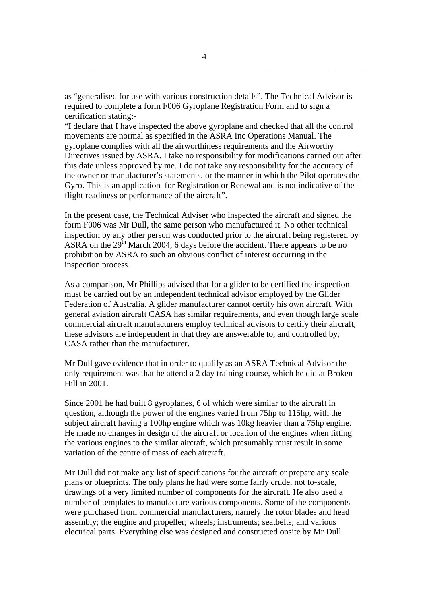as "generalised for use with various construction details". The Technical Advisor is required to complete a form F006 Gyroplane Registration Form and to sign a certification stating:-

"I declare that I have inspected the above gyroplane and checked that all the control movements are normal as specified in the ASRA Inc Operations Manual. The gyroplane complies with all the airworthiness requirements and the Airworthy Directives issued by ASRA. I take no responsibility for modifications carried out after this date unless approved by me. I do not take any responsibility for the accuracy of the owner or manufacturer's statements, or the manner in which the Pilot operates the Gyro. This is an application for Registration or Renewal and is not indicative of the flight readiness or performance of the aircraft".

In the present case, the Technical Adviser who inspected the aircraft and signed the form F006 was Mr Dull, the same person who manufactured it. No other technical inspection by any other person was conducted prior to the aircraft being registered by ASRA on the  $29<sup>th</sup>$  March 2004, 6 days before the accident. There appears to be no prohibition by ASRA to such an obvious conflict of interest occurring in the inspection process.

As a comparison, Mr Phillips advised that for a glider to be certified the inspection must be carried out by an independent technical advisor employed by the Glider Federation of Australia. A glider manufacturer cannot certify his own aircraft. With general aviation aircraft CASA has similar requirements, and even though large scale commercial aircraft manufacturers employ technical advisors to certify their aircraft, these advisors are independent in that they are answerable to, and controlled by, CASA rather than the manufacturer.

Mr Dull gave evidence that in order to qualify as an ASRA Technical Advisor the only requirement was that he attend a 2 day training course, which he did at Broken Hill in 2001.

Since 2001 he had built 8 gyroplanes, 6 of which were similar to the aircraft in question, although the power of the engines varied from 75hp to 115hp, with the subject aircraft having a 100hp engine which was 10kg heavier than a 75hp engine. He made no changes in design of the aircraft or location of the engines when fitting the various engines to the similar aircraft, which presumably must result in some variation of the centre of mass of each aircraft.

Mr Dull did not make any list of specifications for the aircraft or prepare any scale plans or blueprints. The only plans he had were some fairly crude, not to-scale, drawings of a very limited number of components for the aircraft. He also used a number of templates to manufacture various components. Some of the components were purchased from commercial manufacturers, namely the rotor blades and head assembly; the engine and propeller; wheels; instruments; seatbelts; and various electrical parts. Everything else was designed and constructed onsite by Mr Dull.

\_\_\_\_\_\_\_\_\_\_\_\_\_\_\_\_\_\_\_\_\_\_\_\_\_\_\_\_\_\_\_\_\_\_\_\_\_\_\_\_\_\_\_\_\_\_\_\_\_\_\_\_\_\_\_\_\_\_\_\_\_\_\_\_\_\_\_\_\_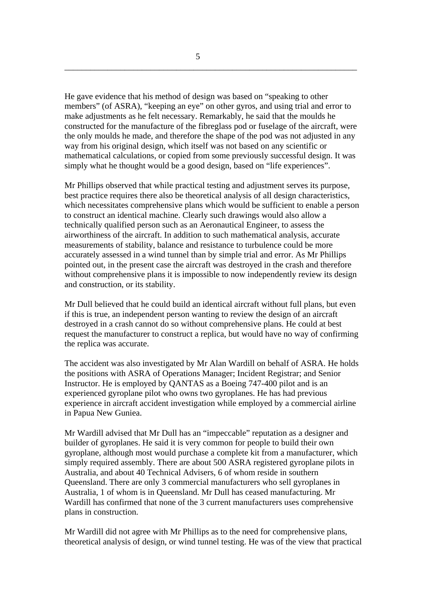He gave evidence that his method of design was based on "speaking to other members" (of ASRA), "keeping an eye" on other gyros, and using trial and error to make adjustments as he felt necessary. Remarkably, he said that the moulds he constructed for the manufacture of the fibreglass pod or fuselage of the aircraft, were the only moulds he made, and therefore the shape of the pod was not adjusted in any way from his original design, which itself was not based on any scientific or mathematical calculations, or copied from some previously successful design. It was simply what he thought would be a good design, based on "life experiences".

\_\_\_\_\_\_\_\_\_\_\_\_\_\_\_\_\_\_\_\_\_\_\_\_\_\_\_\_\_\_\_\_\_\_\_\_\_\_\_\_\_\_\_\_\_\_\_\_\_\_\_\_\_\_\_\_\_\_\_\_\_\_\_\_\_\_\_\_

Mr Phillips observed that while practical testing and adjustment serves its purpose, best practice requires there also be theoretical analysis of all design characteristics, which necessitates comprehensive plans which would be sufficient to enable a person to construct an identical machine. Clearly such drawings would also allow a technically qualified person such as an Aeronautical Engineer, to assess the airworthiness of the aircraft. In addition to such mathematical analysis, accurate measurements of stability, balance and resistance to turbulence could be more accurately assessed in a wind tunnel than by simple trial and error. As Mr Phillips pointed out, in the present case the aircraft was destroyed in the crash and therefore without comprehensive plans it is impossible to now independently review its design and construction, or its stability.

Mr Dull believed that he could build an identical aircraft without full plans, but even if this is true, an independent person wanting to review the design of an aircraft destroyed in a crash cannot do so without comprehensive plans. He could at best request the manufacturer to construct a replica, but would have no way of confirming the replica was accurate.

The accident was also investigated by Mr Alan Wardill on behalf of ASRA. He holds the positions with ASRA of Operations Manager; Incident Registrar; and Senior Instructor. He is employed by QANTAS as a Boeing 747-400 pilot and is an experienced gyroplane pilot who owns two gyroplanes. He has had previous experience in aircraft accident investigation while employed by a commercial airline in Papua New Guniea.

Mr Wardill advised that Mr Dull has an "impeccable" reputation as a designer and builder of gyroplanes. He said it is very common for people to build their own gyroplane, although most would purchase a complete kit from a manufacturer, which simply required assembly. There are about 500 ASRA registered gyroplane pilots in Australia, and about 40 Technical Advisers, 6 of whom reside in southern Queensland. There are only 3 commercial manufacturers who sell gyroplanes in Australia, 1 of whom is in Queensland. Mr Dull has ceased manufacturing. Mr Wardill has confirmed that none of the 3 current manufacturers uses comprehensive plans in construction.

Mr Wardill did not agree with Mr Phillips as to the need for comprehensive plans, theoretical analysis of design, or wind tunnel testing. He was of the view that practical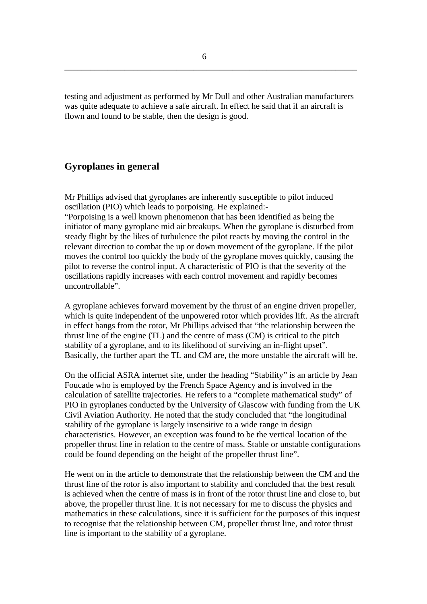testing and adjustment as performed by Mr Dull and other Australian manufacturers was quite adequate to achieve a safe aircraft. In effect he said that if an aircraft is flown and found to be stable, then the design is good.

#### **Gyroplanes in general**

Mr Phillips advised that gyroplanes are inherently susceptible to pilot induced oscillation (PIO) which leads to porpoising. He explained:-

"Porpoising is a well known phenomenon that has been identified as being the initiator of many gyroplane mid air breakups. When the gyroplane is disturbed from steady flight by the likes of turbulence the pilot reacts by moving the control in the relevant direction to combat the up or down movement of the gyroplane. If the pilot moves the control too quickly the body of the gyroplane moves quickly, causing the pilot to reverse the control input. A characteristic of PIO is that the severity of the oscillations rapidly increases with each control movement and rapidly becomes uncontrollable".

A gyroplane achieves forward movement by the thrust of an engine driven propeller, which is quite independent of the unpowered rotor which provides lift. As the aircraft in effect hangs from the rotor, Mr Phillips advised that "the relationship between the thrust line of the engine (TL) and the centre of mass (CM) is critical to the pitch stability of a gyroplane, and to its likelihood of surviving an in-flight upset". Basically, the further apart the TL and CM are, the more unstable the aircraft will be.

On the official ASRA internet site, under the heading "Stability" is an article by Jean Foucade who is employed by the French Space Agency and is involved in the calculation of satellite trajectories. He refers to a "complete mathematical study" of PIO in gyroplanes conducted by the University of Glascow with funding from the UK Civil Aviation Authority. He noted that the study concluded that "the longitudinal stability of the gyroplane is largely insensitive to a wide range in design characteristics. However, an exception was found to be the vertical location of the propeller thrust line in relation to the centre of mass. Stable or unstable configurations could be found depending on the height of the propeller thrust line".

He went on in the article to demonstrate that the relationship between the CM and the thrust line of the rotor is also important to stability and concluded that the best result is achieved when the centre of mass is in front of the rotor thrust line and close to, but above, the propeller thrust line. It is not necessary for me to discuss the physics and mathematics in these calculations, since it is sufficient for the purposes of this inquest to recognise that the relationship between CM, propeller thrust line, and rotor thrust line is important to the stability of a gyroplane.

\_\_\_\_\_\_\_\_\_\_\_\_\_\_\_\_\_\_\_\_\_\_\_\_\_\_\_\_\_\_\_\_\_\_\_\_\_\_\_\_\_\_\_\_\_\_\_\_\_\_\_\_\_\_\_\_\_\_\_\_\_\_\_\_\_\_\_\_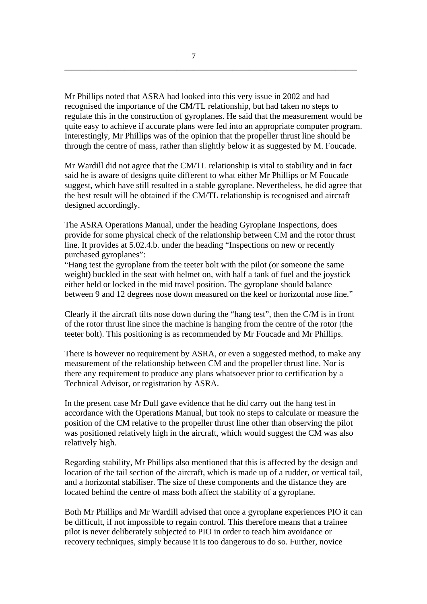Mr Phillips noted that ASRA had looked into this very issue in 2002 and had recognised the importance of the CM/TL relationship, but had taken no steps to regulate this in the construction of gyroplanes. He said that the measurement would be quite easy to achieve if accurate plans were fed into an appropriate computer program. Interestingly, Mr Phillips was of the opinion that the propeller thrust line should be through the centre of mass, rather than slightly below it as suggested by M. Foucade.

\_\_\_\_\_\_\_\_\_\_\_\_\_\_\_\_\_\_\_\_\_\_\_\_\_\_\_\_\_\_\_\_\_\_\_\_\_\_\_\_\_\_\_\_\_\_\_\_\_\_\_\_\_\_\_\_\_\_\_\_\_\_\_\_\_\_\_\_

Mr Wardill did not agree that the CM/TL relationship is vital to stability and in fact said he is aware of designs quite different to what either Mr Phillips or M Foucade suggest, which have still resulted in a stable gyroplane. Nevertheless, he did agree that the best result will be obtained if the CM/TL relationship is recognised and aircraft designed accordingly.

The ASRA Operations Manual, under the heading Gyroplane Inspections, does provide for some physical check of the relationship between CM and the rotor thrust line. It provides at 5.02.4.b. under the heading "Inspections on new or recently purchased gyroplanes":

"Hang test the gyroplane from the teeter bolt with the pilot (or someone the same weight) buckled in the seat with helmet on, with half a tank of fuel and the joystick either held or locked in the mid travel position. The gyroplane should balance between 9 and 12 degrees nose down measured on the keel or horizontal nose line."

Clearly if the aircraft tilts nose down during the "hang test", then the C/M is in front of the rotor thrust line since the machine is hanging from the centre of the rotor (the teeter bolt). This positioning is as recommended by Mr Foucade and Mr Phillips.

There is however no requirement by ASRA, or even a suggested method, to make any measurement of the relationship between CM and the propeller thrust line. Nor is there any requirement to produce any plans whatsoever prior to certification by a Technical Advisor, or registration by ASRA.

In the present case Mr Dull gave evidence that he did carry out the hang test in accordance with the Operations Manual, but took no steps to calculate or measure the position of the CM relative to the propeller thrust line other than observing the pilot was positioned relatively high in the aircraft, which would suggest the CM was also relatively high.

Regarding stability, Mr Phillips also mentioned that this is affected by the design and location of the tail section of the aircraft, which is made up of a rudder, or vertical tail, and a horizontal stabiliser. The size of these components and the distance they are located behind the centre of mass both affect the stability of a gyroplane.

Both Mr Phillips and Mr Wardill advised that once a gyroplane experiences PIO it can be difficult, if not impossible to regain control. This therefore means that a trainee pilot is never deliberately subjected to PIO in order to teach him avoidance or recovery techniques, simply because it is too dangerous to do so. Further, novice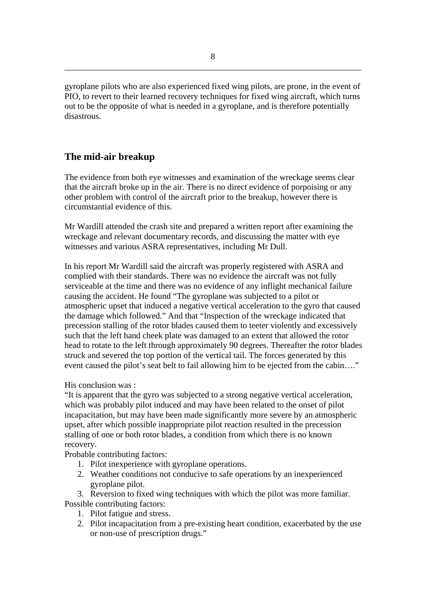gyroplane pilots who are also experienced fixed wing pilots, are prone, in the event of PIO, to revert to their learned recovery techniques for fixed wing aircraft, which turns out to be the opposite of what is needed in a gyroplane, and is therefore potentially disastrous.

### **The mid-air breakup**

The evidence from both eye witnesses and examination of the wreckage seems clear that the aircraft broke up in the air. There is no direct evidence of porpoising or any other problem with control of the aircraft prior to the breakup, however there is circumstantial evidence of this.

Mr Wardill attended the crash site and prepared a written report after examining the wreckage and relevant documentary records, and discussing the matter with eye witnesses and various ASRA representatives, including Mr Dull.

In his report Mr Wardill said the aircraft was properly registered with ASRA and complied with their standards. There was no evidence the aircraft was not fully serviceable at the time and there was no evidence of any inflight mechanical failure causing the accident. He found "The gyroplane was subjected to a pilot or atmospheric upset that induced a negative vertical acceleration to the gyro that caused the damage which followed." And that "Inspection of the wreckage indicated that precession stalling of the rotor blades caused them to teeter violently and excessively such that the left hand cheek plate was damaged to an extent that allowed the rotor head to rotate to the left through approximately 90 degrees. Thereafter the rotor blades struck and severed the top portion of the vertical tail. The forces generated by this event caused the pilot's seat belt to fail allowing him to be ejected from the cabin…."

His conclusion was :

"It is apparent that the gyro was subjected to a strong negative vertical acceleration, which was probably pilot induced and may have been related to the onset of pilot incapacitation, but may have been made significantly more severe by an atmospheric upset, after which possible inappropriate pilot reaction resulted in the precession stalling of one or both rotor blades, a condition from which there is no known recovery.

Probable contributing factors:

- 1. Pilot inexperience with gyroplane operations.
- 2. Weather conditions not conducive to safe operations by an inexperienced gyroplane pilot.

3. Reversion to fixed wing techniques with which the pilot was more familiar. Possible contributing factors:

- 1. Pilot fatigue and stress.
- 2. Pilot incapacitation from a pre-existing heart condition, exacerbated by the use or non-use of prescription drugs."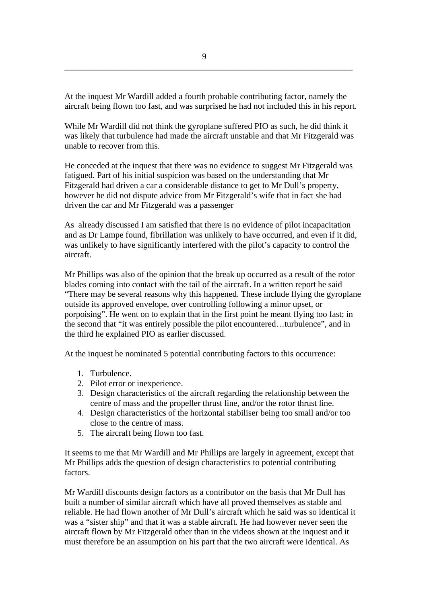At the inquest Mr Wardill added a fourth probable contributing factor, namely the aircraft being flown too fast, and was surprised he had not included this in his report.

While Mr Wardill did not think the gyroplane suffered PIO as such, he did think it was likely that turbulence had made the aircraft unstable and that Mr Fitzgerald was unable to recover from this.

He conceded at the inquest that there was no evidence to suggest Mr Fitzgerald was fatigued. Part of his initial suspicion was based on the understanding that Mr Fitzgerald had driven a car a considerable distance to get to Mr Dull's property, however he did not dispute advice from Mr Fitzgerald's wife that in fact she had driven the car and Mr Fitzgerald was a passenger

As already discussed I am satisfied that there is no evidence of pilot incapacitation and as Dr Lampe found, fibrillation was unlikely to have occurred, and even if it did, was unlikely to have significantly interfered with the pilot's capacity to control the aircraft.

Mr Phillips was also of the opinion that the break up occurred as a result of the rotor blades coming into contact with the tail of the aircraft. In a written report he said "There may be several reasons why this happened. These include flying the gyroplane outside its approved envelope, over controlling following a minor upset, or porpoising". He went on to explain that in the first point he meant flying too fast; in the second that "it was entirely possible the pilot encountered…turbulence", and in the third he explained PIO as earlier discussed.

At the inquest he nominated 5 potential contributing factors to this occurrence:

- 1. Turbulence.
- 2. Pilot error or inexperience.
- 3. Design characteristics of the aircraft regarding the relationship between the centre of mass and the propeller thrust line, and/or the rotor thrust line.
- 4. Design characteristics of the horizontal stabiliser being too small and/or too close to the centre of mass.
- 5. The aircraft being flown too fast.

It seems to me that Mr Wardill and Mr Phillips are largely in agreement, except that Mr Phillips adds the question of design characteristics to potential contributing factors.

Mr Wardill discounts design factors as a contributor on the basis that Mr Dull has built a number of similar aircraft which have all proved themselves as stable and reliable. He had flown another of Mr Dull's aircraft which he said was so identical it was a "sister ship" and that it was a stable aircraft. He had however never seen the aircraft flown by Mr Fitzgerald other than in the videos shown at the inquest and it must therefore be an assumption on his part that the two aircraft were identical. As

\_\_\_\_\_\_\_\_\_\_\_\_\_\_\_\_\_\_\_\_\_\_\_\_\_\_\_\_\_\_\_\_\_\_\_\_\_\_\_\_\_\_\_\_\_\_\_\_\_\_\_\_\_\_\_\_\_\_\_\_\_\_\_\_\_\_\_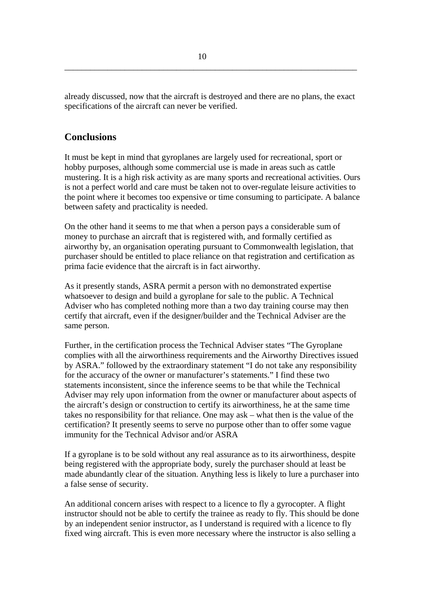already discussed, now that the aircraft is destroyed and there are no plans, the exact specifications of the aircraft can never be verified.

\_\_\_\_\_\_\_\_\_\_\_\_\_\_\_\_\_\_\_\_\_\_\_\_\_\_\_\_\_\_\_\_\_\_\_\_\_\_\_\_\_\_\_\_\_\_\_\_\_\_\_\_\_\_\_\_\_\_\_\_\_\_\_\_\_\_\_\_

### **Conclusions**

It must be kept in mind that gyroplanes are largely used for recreational, sport or hobby purposes, although some commercial use is made in areas such as cattle mustering. It is a high risk activity as are many sports and recreational activities. Ours is not a perfect world and care must be taken not to over-regulate leisure activities to the point where it becomes too expensive or time consuming to participate. A balance between safety and practicality is needed.

On the other hand it seems to me that when a person pays a considerable sum of money to purchase an aircraft that is registered with, and formally certified as airworthy by, an organisation operating pursuant to Commonwealth legislation, that purchaser should be entitled to place reliance on that registration and certification as prima facie evidence that the aircraft is in fact airworthy.

As it presently stands, ASRA permit a person with no demonstrated expertise whatsoever to design and build a gyroplane for sale to the public. A Technical Adviser who has completed nothing more than a two day training course may then certify that aircraft, even if the designer/builder and the Technical Adviser are the same person.

Further, in the certification process the Technical Adviser states "The Gyroplane complies with all the airworthiness requirements and the Airworthy Directives issued by ASRA." followed by the extraordinary statement "I do not take any responsibility for the accuracy of the owner or manufacturer's statements." I find these two statements inconsistent, since the inference seems to be that while the Technical Adviser may rely upon information from the owner or manufacturer about aspects of the aircraft's design or construction to certify its airworthiness, he at the same time takes no responsibility for that reliance. One may ask – what then is the value of the certification? It presently seems to serve no purpose other than to offer some vague immunity for the Technical Advisor and/or ASRA

If a gyroplane is to be sold without any real assurance as to its airworthiness, despite being registered with the appropriate body, surely the purchaser should at least be made abundantly clear of the situation. Anything less is likely to lure a purchaser into a false sense of security.

An additional concern arises with respect to a licence to fly a gyrocopter. A flight instructor should not be able to certify the trainee as ready to fly. This should be done by an independent senior instructor, as I understand is required with a licence to fly fixed wing aircraft. This is even more necessary where the instructor is also selling a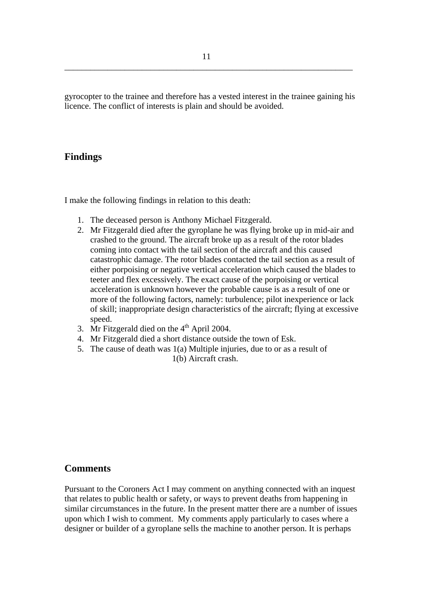gyrocopter to the trainee and therefore has a vested interest in the trainee gaining his licence. The conflict of interests is plain and should be avoided.

#### **Findings**

I make the following findings in relation to this death:

- 1. The deceased person is Anthony Michael Fitzgerald.
- 2. Mr Fitzgerald died after the gyroplane he was flying broke up in mid-air and crashed to the ground. The aircraft broke up as a result of the rotor blades coming into contact with the tail section of the aircraft and this caused catastrophic damage. The rotor blades contacted the tail section as a result of either porpoising or negative vertical acceleration which caused the blades to teeter and flex excessively. The exact cause of the porpoising or vertical acceleration is unknown however the probable cause is as a result of one or more of the following factors, namely: turbulence; pilot inexperience or lack of skill; inappropriate design characteristics of the aircraft; flying at excessive speed.
- 3. Mr Fitzgerald died on the  $4<sup>th</sup>$  April 2004.
- 4. Mr Fitzgerald died a short distance outside the town of Esk.
- 5. The cause of death was 1(a) Multiple injuries, due to or as a result of 1(b) Aircraft crash.

### **Comments**

Pursuant to the Coroners Act I may comment on anything connected with an inquest that relates to public health or safety, or ways to prevent deaths from happening in similar circumstances in the future. In the present matter there are a number of issues upon which I wish to comment. My comments apply particularly to cases where a designer or builder of a gyroplane sells the machine to another person. It is perhaps